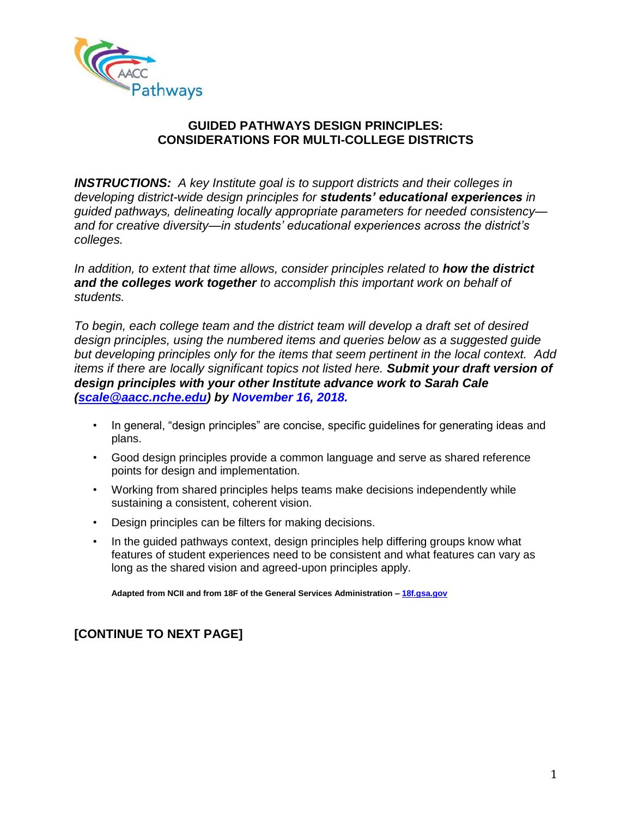

# **CONSIDERATIONS FOR MULTI-COLLEGE DISTRICTS**

*INSTRUCTIONS: A key Institute goal is to support districts and their colleges in developing district-wide design principles for students' educational experiences in guided pathways, delineating locally appropriate parameters for needed consistency and for creative diversity—in students' educational experiences across the district's colleges.* 

*In addition, to extent that time allows, consider principles related to how the district and the colleges work together to accomplish this important work on behalf of students.* 

*To begin, each college team and the district team will develop a draft set of desired design principles, using the numbered items and queries below as a suggested guide but developing principles only for the items that seem pertinent in the local context. Add items if there are locally significant topics not listed here. Submit your draft version of design principles with your other Institute advance work to Sarah Cale [\(scale@aacc.nche.edu\)](mailto:scale@aacc.nche.edu) by November 16, 2018.* 

- In general, "design principles" are concise, specific guidelines for generating ideas and plans.
- Good design principles provide a common language and serve as shared reference points for design and implementation.
- Working from shared principles helps teams make decisions independently while sustaining a consistent, coherent vision.
- Design principles can be filters for making decisions.
- In the guided pathways context, design principles help differing groups know what features of student experiences need to be consistent and what features can vary as long as the shared vision and agreed-upon principles apply.

**Adapted from NCII and from 18F of the General Services Administration – [18f.gsa.gov](file:///C:/Users/courtney.williams/AppData/Local/Microsoft/Windows/Temporary%20Internet%20Files/Content.Outlook/9DIUN8YZ/18f.gsa.gov)**

# **[CONTINUE TO NEXT PAGE]**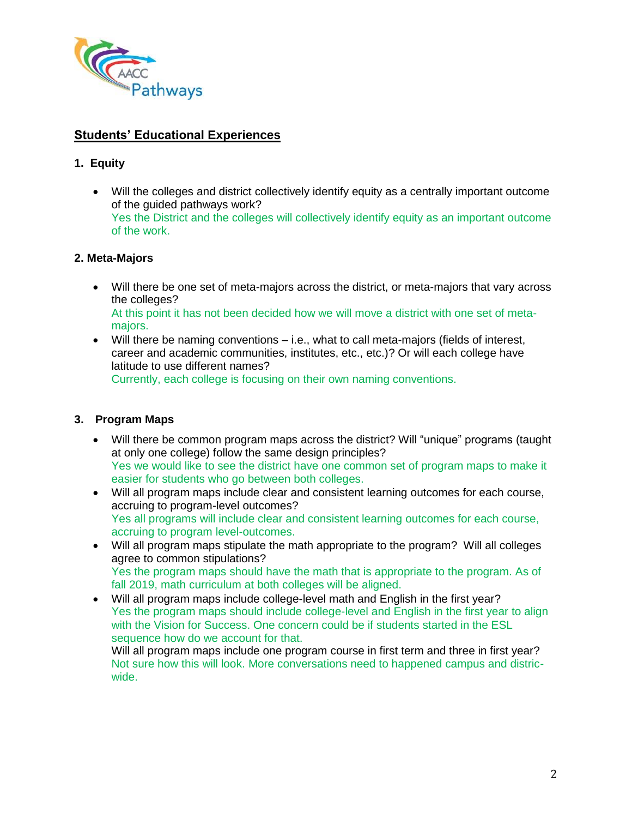

# **Students' Educational Experiences**

# **1. Equity**

 Will the colleges and district collectively identify equity as a centrally important outcome of the guided pathways work? Yes the District and the colleges will collectively identify equity as an important outcome of the work.

# **2. Meta-Majors**

- Will there be one set of meta-majors across the district, or meta-majors that vary across the colleges? At this point it has not been decided how we will move a district with one set of metamajors.
- Will there be naming conventions i.e., what to call meta-majors (fields of interest, career and academic communities, institutes, etc., etc.)? Or will each college have latitude to use different names? Currently, each college is focusing on their own naming conventions.

# **3. Program Maps**

- Will there be common program maps across the district? Will "unique" programs (taught at only one college) follow the same design principles? Yes we would like to see the district have one common set of program maps to make it easier for students who go between both colleges.
- Will all program maps include clear and consistent learning outcomes for each course, accruing to program-level outcomes? Yes all programs will include clear and consistent learning outcomes for each course, accruing to program level-outcomes.
- Will all program maps stipulate the math appropriate to the program? Will all colleges agree to common stipulations? Yes the program maps should have the math that is appropriate to the program. As of fall 2019, math curriculum at both colleges will be aligned.
- Will all program maps include college-level math and English in the first year? Yes the program maps should include college-level and English in the first year to align with the Vision for Success. One concern could be if students started in the ESL sequence how do we account for that.

Will all program maps include one program course in first term and three in first year? Not sure how this will look. More conversations need to happened campus and districwide.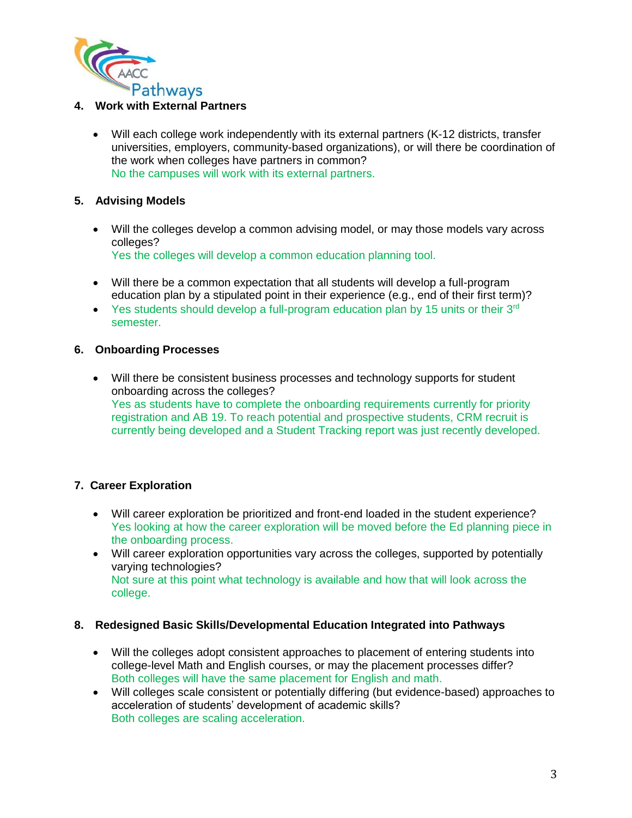

 Will each college work independently with its external partners (K-12 districts, transfer universities, employers, community-based organizations), or will there be coordination of the work when colleges have partners in common? No the campuses will work with its external partners.

# **5. Advising Models**

- Will the colleges develop a common advising model, or may those models vary across colleges? Yes the colleges will develop a common education planning tool.
- Will there be a common expectation that all students will develop a full-program education plan by a stipulated point in their experience (e.g., end of their first term)?
- $\bullet$  Yes students should develop a full-program education plan by 15 units or their 3<sup>rd</sup> semester.

### **6. Onboarding Processes**

 Will there be consistent business processes and technology supports for student onboarding across the colleges? Yes as students have to complete the onboarding requirements currently for priority registration and AB 19. To reach potential and prospective students, CRM recruit is currently being developed and a Student Tracking report was just recently developed.

# **7. Career Exploration**

- Will career exploration be prioritized and front-end loaded in the student experience? Yes looking at how the career exploration will be moved before the Ed planning piece in the onboarding process.
- Will career exploration opportunities vary across the colleges, supported by potentially varying technologies? Not sure at this point what technology is available and how that will look across the college.

### **8. Redesigned Basic Skills/Developmental Education Integrated into Pathways**

- Will the colleges adopt consistent approaches to placement of entering students into college-level Math and English courses, or may the placement processes differ? Both colleges will have the same placement for English and math.
- Will colleges scale consistent or potentially differing (but evidence-based) approaches to acceleration of students' development of academic skills? Both colleges are scaling acceleration.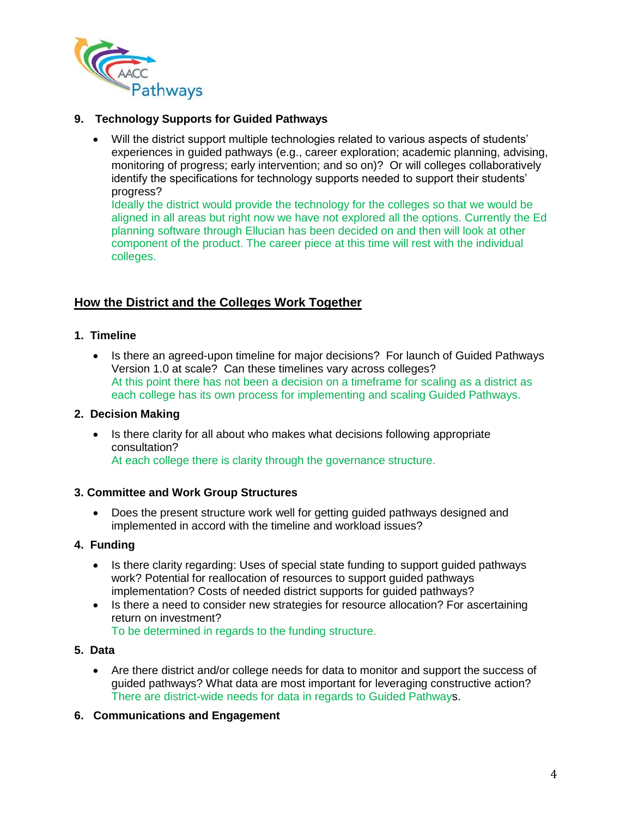

 Will the district support multiple technologies related to various aspects of students' experiences in guided pathways (e.g., career exploration; academic planning, advising, monitoring of progress; early intervention; and so on)? Or will colleges collaboratively identify the specifications for technology supports needed to support their students' progress?

Ideally the district would provide the technology for the colleges so that we would be aligned in all areas but right now we have not explored all the options. Currently the Ed planning software through Ellucian has been decided on and then will look at other component of the product. The career piece at this time will rest with the individual colleges.

# **How the District and the Colleges Work Together**

# **1. Timeline**

• Is there an agreed-upon timeline for major decisions? For launch of Guided Pathways Version 1.0 at scale? Can these timelines vary across colleges? At this point there has not been a decision on a timeframe for scaling as a district as each college has its own process for implementing and scaling Guided Pathways.

# **2. Decision Making**

• Is there clarity for all about who makes what decisions following appropriate consultation? At each college there is clarity through the governance structure.

# **3. Committee and Work Group Structures**

 Does the present structure work well for getting guided pathways designed and implemented in accord with the timeline and workload issues?

# **4. Funding**

- Is there clarity regarding: Uses of special state funding to support guided pathways work? Potential for reallocation of resources to support guided pathways implementation? Costs of needed district supports for guided pathways?
- Is there a need to consider new strategies for resource allocation? For ascertaining return on investment? To be determined in regards to the funding structure.

### **5. Data**

 Are there district and/or college needs for data to monitor and support the success of guided pathways? What data are most important for leveraging constructive action? There are district-wide needs for data in regards to Guided Pathways.

# **6. Communications and Engagement**